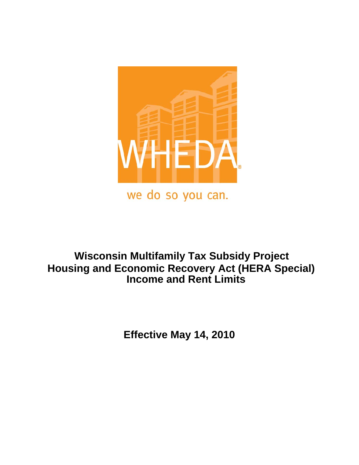

# **Wisconsin Multifamily Tax Subsidy Project Housing and Economic Recovery Act (HERA Special) Income and Rent Limits**

 **Effective May 14, 2010**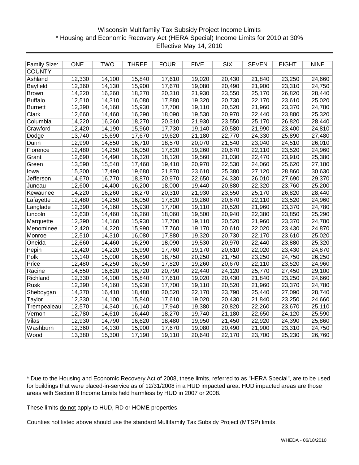# Wisconsin Multifamily Tax Subsidy Project Income Limits \* Housing and Economic Recovery Act (HERA Special) Income Limits for 2010 at 30% Effective May 14, 2010

| <b>Family Size:</b> | <b>ONE</b> | <b>TWO</b> | <b>THREE</b> | <b>FOUR</b> | <b>FIVE</b> | SIX    | <b>SEVEN</b> | <b>EIGHT</b> | <b>NINE</b> |
|---------------------|------------|------------|--------------|-------------|-------------|--------|--------------|--------------|-------------|
| <b>COUNTY</b>       |            |            |              |             |             |        |              |              |             |
| Ashland             | 12,330     | 14,100     | 15,840       | 17,610      | 19,020      | 20,430 | 21,840       | 23,250       | 24,660      |
| Bayfield            | 12,360     | 14,130     | 15,900       | 17,670      | 19,080      | 20,490 | 21,900       | 23,310       | 24,750      |
| <b>Brown</b>        | 14,220     | 16,260     | 18,270       | 20,310      | 21,930      | 23,550 | 25,170       | 26,820       | 28,440      |
| <b>Buffalo</b>      | 12,510     | 14,310     | 16,080       | 17,880      | 19,320      | 20,730 | 22,170       | 23,610       | 25,020      |
| <b>Burnett</b>      | 12,390     | 14,160     | 15,930       | 17,700      | 19,110      | 20,520 | 21,960       | 23,370       | 24,780      |
| Clark               | 12,660     | 14,460     | 16,290       | 18,090      | 19,530      | 20,970 | 22,440       | 23,880       | 25,320      |
| Columbia            | 14,220     | 16,260     | 18,270       | 20,310      | 21,930      | 23,550 | 25,170       | 26,820       | 28,440      |
| Crawford            | 12,420     | 14,190     | 15,960       | 17,730      | 19,140      | 20,580 | 21,990       | 23,400       | 24,810      |
| Dodge               | 13,740     | 15,690     | 17,670       | 19,620      | 21,180      | 22,770 | 24,330       | 25,890       | 27,480      |
| Dunn                | 12,990     | 14,850     | 16,710       | 18,570      | 20,070      | 21,540 | 23,040       | 24,510       | 26,010      |
| Florence            | 12,480     | 14,250     | 16,050       | 17,820      | 19,260      | 20,670 | 22,110       | 23,520       | 24,960      |
| Grant               | 12,690     | 14,490     | 16,320       | 18,120      | 19,560      | 21,030 | 22,470       | 23,910       | 25,380      |
| Green               | 13,590     | 15,540     | 17,460       | 19,410      | 20,970      | 22,530 | 24,060       | 25,620       | 27,180      |
| lowa                | 15,300     | 17,490     | 19,680       | 21,870      | 23,610      | 25,380 | 27,120       | 28,860       | 30,630      |
| <b>Jefferson</b>    | 14,670     | 16,770     | 18,870       | 20,970      | 22,650      | 24,330 | 26,010       | 27,690       | 29,370      |
| Juneau              | 12,600     | 14,400     | 16,200       | 18,000      | 19,440      | 20,880 | 22,320       | 23,760       | 25,200      |
| Kewaunee            | 14,220     | 16,260     | 18,270       | 20,310      | 21,930      | 23,550 | 25,170       | 26,820       | 28,440      |
| Lafayette           | 12,480     | 14,250     | 16,050       | 17,820      | 19,260      | 20,670 | 22,110       | 23,520       | 24,960      |
| Langlade            | 12,390     | 14,160     | 15,930       | 17,700      | 19,110      | 20,520 | 21,960       | 23,370       | 24,780      |
| Lincoln             | 12,630     | 14,460     | 16,260       | 18,060      | 19,500      | 20,940 | 22,380       | 23,850       | 25,290      |
| Marquette           | 12,390     | 14,160     | 15,930       | 17,700      | 19,110      | 20,520 | 21,960       | 23,370       | 24,780      |
| Menominee           | 12,420     | 14,220     | 15,990       | 17,760      | 19,170      | 20,610 | 22,020       | 23,430       | 24,870      |
| Monroe              | 12,510     | 14,310     | 16,080       | 17,880      | 19,320      | 20,730 | 22,170       | 23,610       | 25,020      |
| Oneida              | 12,660     | 14,460     | 16,290       | 18,090      | 19,530      | 20,970 | 22,440       | 23,880       | 25,320      |
| Pepin               | 12,420     | 14,220     | 15,990       | 17,760      | 19,170      | 20,610 | 22,020       | 23,430       | 24,870      |
| Polk                | 13,140     | 15,000     | 16,890       | 18,750      | 20,250      | 21,750 | 23,250       | 24,750       | 26,250      |
| Price               | 12,480     | 14,250     | 16,050       | 17,820      | 19,260      | 20,670 | 22,110       | 23,520       | 24,960      |
| Racine              | 14,550     | 16,620     | 18,720       | 20,790      | 22,440      | 24,120 | 25,770       | 27,450       | 29,100      |
| Richland            | 12,330     | 14,100     | 15,840       | 17,610      | 19,020      | 20,430 | 21,840       | 23,250       | 24,660      |
| Rusk                | 12,390     | 14,160     | 15,930       | 17,700      | 19,110      | 20,520 | 21,960       | 23,370       | 24,780      |
| Sheboygan           | 14,370     | 16,410     | 18,480       | 20,520      | 22,170      | 23,790 | 25,440       | 27,090       | 28,740      |
| Taylor              | 12,330     | 14,100     | 15,840       | 17,610      | 19,020      | 20,430 | 21,840       | 23,250       | 24,660      |
| Trempealeau         | 12,570     | 14,340     | 16,140       | 17,940      | 19,380      | 20,820 | 22,260       | 23,670       | 25,110      |
| Vernon              | 12,780     | 14,610     | 16,440       | 18,270      | 19,740      | 21,180 | 22,650       | 24,120       | 25,590      |
| Vilas               | 12,930     | 14,790     | 16,620       | 18,480      | 19,950      | 21,450 | 22,920       | 24,390       | 25,860      |
| Washburn            | 12,360     | 14,130     | 15,900       | 17,670      | 19,080      | 20,490 | 21,900       | 23,310       | 24,750      |
| Wood                | 13,380     | 15,300     | 17,190       | 19,110      | 20,640      | 22,170 | 23,700       | 25,230       | 26,760      |

\* Due to the Housing and Economic Recovery Act of 2008, these limits, referred to as "HERA Special", are to be used for buildings that were placed-in-service as of 12/31/2008 in a HUD impacted area. HUD impacted areas are those areas with Section 8 Income Limits held harmless by HUD in 2007 or 2008.

These limits do not apply to HUD, RD or HOME properties.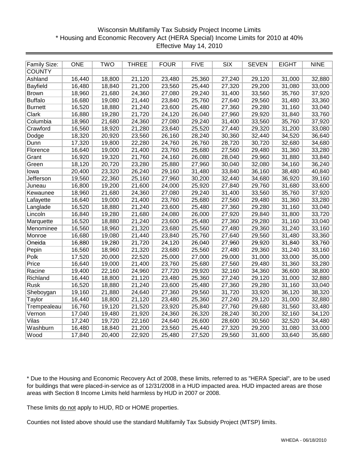# Wisconsin Multifamily Tax Subsidy Project Income Limits \* Housing and Economic Recovery Act (HERA Special) Income Limits for 2010 at 40% Effective May 14, 2010

| Family Size:    | <b>ONE</b> | <b>TWO</b> | <b>THREE</b> | <b>FOUR</b> | <b>FIVE</b> | $\overline{\text{SIX}}$ | <b>SEVEN</b> | <b>EIGHT</b> | <b>NINE</b> |
|-----------------|------------|------------|--------------|-------------|-------------|-------------------------|--------------|--------------|-------------|
| <b>COUNTY</b>   |            |            |              |             |             |                         |              |              |             |
| Ashland         | 16,440     | 18,800     | 21,120       | 23,480      | 25,360      | 27,240                  | 29,120       | 31,000       | 32,880      |
| <b>Bayfield</b> | 16,480     | 18,840     | 21,200       | 23,560      | 25,440      | 27,320                  | 29,200       | 31,080       | 33,000      |
| <b>Brown</b>    | 18,960     | 21,680     | 24,360       | 27,080      | 29,240      | 31,400                  | 33,560       | 35,760       | 37,920      |
| <b>Buffalo</b>  | 16,680     | 19,080     | 21,440       | 23,840      | 25,760      | 27,640                  | 29,560       | 31,480       | 33,360      |
| <b>Burnett</b>  | 16,520     | 18,880     | 21,240       | 23,600      | 25,480      | 27,360                  | 29,280       | 31,160       | 33,040      |
| Clark           | 16,880     | 19,280     | 21,720       | 24,120      | 26,040      | 27,960                  | 29,920       | 31,840       | 33,760      |
| Columbia        | 18,960     | 21,680     | 24,360       | 27,080      | 29,240      | 31,400                  | 33,560       | 35,760       | 37,920      |
| Crawford        | 16,560     | 18,920     | 21,280       | 23,640      | 25,520      | 27,440                  | 29,320       | 31,200       | 33,080      |
| Dodge           | 18,320     | 20,920     | 23,560       | 26,160      | 28,240      | 30,360                  | 32,440       | 34,520       | 36,640      |
| Dunn            | 17,320     | 19,800     | 22,280       | 24,760      | 26,760      | 28,720                  | 30,720       | 32,680       | 34,680      |
| Florence        | 16,640     | 19,000     | 21,400       | 23,760      | 25,680      | 27,560                  | 29,480       | 31,360       | 33,280      |
| Grant           | 16,920     | 19,320     | 21,760       | 24,160      | 26,080      | 28,040                  | 29,960       | 31,880       | 33,840      |
| Green           | 18,120     | 20,720     | 23,280       | 25,880      | 27,960      | 30,040                  | 32,080       | 34,160       | 36,240      |
| lowa            | 20,400     | 23,320     | 26,240       | 29,160      | 31,480      | 33,840                  | 36,160       | 38,480       | 40,840      |
| Jefferson       | 19,560     | 22,360     | 25,160       | 27,960      | 30,200      | 32,440                  | 34,680       | 36,920       | 39,160      |
| Juneau          | 16,800     | 19,200     | 21,600       | 24,000      | 25,920      | 27,840                  | 29,760       | 31,680       | 33,600      |
| Kewaunee        | 18,960     | 21,680     | 24,360       | 27,080      | 29,240      | 31,400                  | 33,560       | 35,760       | 37,920      |
| Lafayette       | 16,640     | 19,000     | 21,400       | 23,760      | 25,680      | 27,560                  | 29,480       | 31,360       | 33,280      |
| Langlade        | 16,520     | 18,880     | 21,240       | 23,600      | 25,480      | 27,360                  | 29,280       | 31,160       | 33,040      |
| Lincoln         | 16,840     | 19,280     | 21,680       | 24,080      | 26,000      | 27,920                  | 29,840       | 31,800       | 33,720      |
| Marquette       | 16,520     | 18,880     | 21,240       | 23,600      | 25,480      | 27,360                  | 29,280       | 31,160       | 33,040      |
| Menominee       | 16,560     | 18,960     | 21,320       | 23,680      | 25,560      | 27,480                  | 29,360       | 31,240       | 33,160      |
| Monroe          | 16,680     | 19,080     | 21,440       | 23,840      | 25,760      | 27,640                  | 29,560       | 31,480       | 33,360      |
| Oneida          | 16,880     | 19,280     | 21,720       | 24,120      | 26,040      | 27,960                  | 29,920       | 31,840       | 33,760      |
| Pepin           | 16,560     | 18,960     | 21,320       | 23,680      | 25,560      | 27,480                  | 29,360       | 31,240       | 33,160      |
| Polk            | 17,520     | 20,000     | 22,520       | 25,000      | 27,000      | 29,000                  | 31,000       | 33,000       | 35,000      |
| Price           | 16,640     | 19,000     | 21,400       | 23,760      | 25,680      | 27,560                  | 29,480       | 31,360       | 33,280      |
| Racine          | 19,400     | 22,160     | 24,960       | 27,720      | 29,920      | 32,160                  | 34,360       | 36,600       | 38,800      |
| Richland        | 16,440     | 18,800     | 21,120       | 23,480      | 25,360      | 27,240                  | 29,120       | 31,000       | 32,880      |
| <b>Rusk</b>     | 16,520     | 18,880     | 21,240       | 23,600      | 25,480      | 27,360                  | 29,280       | 31,160       | 33,040      |
| Sheboygan       | 19,160     | 21,880     | 24,640       | 27,360      | 29,560      | 31,720                  | 33,920       | 36,120       | 38,320      |
| Taylor          | 16,440     | 18,800     | 21,120       | 23,480      | 25,360      | 27,240                  | 29,120       | 31,000       | 32,880      |
| Trempealeau     | 16,760     | 19,120     | 21,520       | 23,920      | 25,840      | 27,760                  | 29,680       | 31,560       | 33,480      |
| Vernon          | 17,040     | 19,480     | 21,920       | 24,360      | 26,320      | 28,240                  | 30,200       | 32,160       | 34,120      |
| Vilas           | 17,240     | 19,720     | 22,160       | 24,640      | 26,600      | 28,600                  | 30,560       | 32,520       | 34,480      |
| Washburn        | 16,480     | 18,840     | 21,200       | 23,560      | 25,440      | 27,320                  | 29,200       | 31,080       | 33,000      |
| Wood            | 17,840     | 20,400     | 22,920       | 25,480      | 27,520      | 29,560                  | 31,600       | 33,640       | 35,680      |

\* Due to the Housing and Economic Recovery Act of 2008, these limits, referred to as "HERA Special", are to be used for buildings that were placed-in-service as of 12/31/2008 in a HUD impacted area. HUD impacted areas are those areas with Section 8 Income Limits held harmless by HUD in 2007 or 2008.

These limits do not apply to HUD, RD or HOME properties.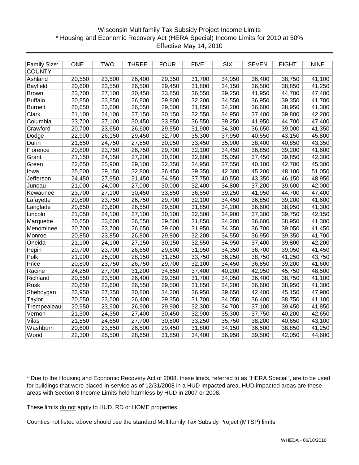# Wisconsin Multifamily Tax Subsidy Project Income Limits \* Housing and Economic Recovery Act (HERA Special) Income Limits for 2010 at 50% Effective May 14, 2010

| <b>Family Size:</b> | <b>ONE</b> | <b>TWO</b> | <b>THREE</b> | <b>FOUR</b> | <b>FIVE</b> | <b>SIX</b> | <b>SEVEN</b> | <b>EIGHT</b> | <b>NINE</b> |
|---------------------|------------|------------|--------------|-------------|-------------|------------|--------------|--------------|-------------|
| <b>COUNTY</b>       |            |            |              |             |             |            |              |              |             |
| Ashland             | 20,550     | 23,500     | 26,400       | 29,350      | 31,700      | 34,050     | 36,400       | 38,750       | 41,100      |
| Bayfield            | 20,600     | 23,550     | 26,500       | 29,450      | 31,800      | 34,150     | 36,500       | 38,850       | 41,250      |
| <b>Brown</b>        | 23,700     | 27,100     | 30,450       | 33,850      | 36,550      | 39,250     | 41,950       | 44,700       | 47,400      |
| <b>Buffalo</b>      | 20,850     | 23,850     | 26,800       | 29,800      | 32,200      | 34,550     | 36,950       | 39,350       | 41,700      |
| <b>Burnett</b>      | 20,650     | 23,600     | 26,550       | 29,500      | 31,850      | 34,200     | 36,600       | 38,950       | 41,300      |
| Clark               | 21,100     | 24,100     | 27,150       | 30,150      | 32,550      | 34,950     | 37,400       | 39,800       | 42,200      |
| Columbia            | 23,700     | 27,100     | 30,450       | 33,850      | 36,550      | 39,250     | 41,950       | 44,700       | 47,400      |
| Crawford            | 20,700     | 23,650     | 26,600       | 29,550      | 31,900      | 34,300     | 36,650       | 39,000       | 41,350      |
| Dodge               | 22,900     | 26,150     | 29,450       | 32,700      | 35,300      | 37,950     | 40,550       | 43,150       | 45,800      |
| Dunn                | 21,650     | 24,750     | 27,850       | 30,950      | 33,450      | 35,900     | 38,400       | 40,850       | 43,350      |
| Florence            | 20,800     | 23,750     | 26,750       | 29,700      | 32,100      | 34,450     | 36,850       | 39,200       | 41,600      |
| Grant               | 21,150     | 24,150     | 27,200       | 30,200      | 32,600      | 35,050     | 37,450       | 39,850       | 42,300      |
| Green               | 22,650     | 25,900     | 29,100       | 32,350      | 34,950      | 37,550     | 40,100       | 42,700       | 45,300      |
| lowa                | 25,500     | 29,150     | 32,800       | 36,450      | 39,350      | 42,300     | 45,200       | 48,100       | 51,050      |
| <b>Jefferson</b>    | 24,450     | 27,950     | 31,450       | 34,950      | 37,750      | 40,550     | 43,350       | 46,150       | 48,950      |
| Juneau              | 21,000     | 24,000     | 27,000       | 30,000      | 32,400      | 34,800     | 37,200       | 39,600       | 42,000      |
| Kewaunee            | 23,700     | 27,100     | 30,450       | 33,850      | 36,550      | 39,250     | 41,950       | 44,700       | 47,400      |
| Lafayette           | 20,800     | 23,750     | 26,750       | 29,700      | 32,100      | 34,450     | 36,850       | 39,200       | 41,600      |
| Langlade            | 20,650     | 23,600     | 26,550       | 29,500      | 31,850      | 34,200     | 36,600       | 38,950       | 41,300      |
| Lincoln             | 21,050     | 24,100     | 27,100       | 30,100      | 32,500      | 34,900     | 37,300       | 39,750       | 42,150      |
| Marquette           | 20,650     | 23,600     | 26,550       | 29,500      | 31,850      | 34,200     | 36,600       | 38,950       | 41,300      |
| Menominee           | 20,700     | 23,700     | 26,650       | 29,600      | 31,950      | 34,350     | 36,700       | 39,050       | 41,450      |
| Monroe              | 20,850     | 23,850     | 26,800       | 29,800      | 32,200      | 34,550     | 36,950       | 39,350       | 41,700      |
| Oneida              | 21,100     | 24,100     | 27,150       | 30,150      | 32,550      | 34,950     | 37,400       | 39,800       | 42,200      |
| Pepin               | 20,700     | 23,700     | 26,650       | 29,600      | 31,950      | 34,350     | 36,700       | 39,050       | 41,450      |
| Polk                | 21,900     | 25,000     | 28,150       | 31,250      | 33,750      | 36,250     | 38,750       | 41,250       | 43,750      |
| Price               | 20,800     | 23,750     | 26,750       | 29,700      | 32,100      | 34,450     | 36,850       | 39,200       | 41,600      |
| Racine              | 24,250     | 27,700     | 31,200       | 34,650      | 37,400      | 40,200     | 42,950       | 45,750       | 48,500      |
| Richland            | 20,550     | 23,500     | 26,400       | 29,350      | 31,700      | 34,050     | 36,400       | 38,750       | 41,100      |
| Rusk                | 20,650     | 23,600     | 26,550       | 29,500      | 31,850      | 34,200     | 36,600       | 38,950       | 41,300      |
| Sheboygan           | 23,950     | 27,350     | 30,800       | 34,200      | 36,950      | 39,650     | 42,400       | 45,150       | 47,900      |
| Taylor              | 20,550     | 23,500     | 26,400       | 29,350      | 31,700      | 34,050     | 36,400       | 38,750       | 41,100      |
| Trempealeau         | 20,950     | 23,900     | 26,900       | 29,900      | 32,300      | 34,700     | 37,100       | 39,450       | 41,850      |
| Vernon              | 21,300     | 24,350     | 27,400       | 30,450      | 32,900      | 35,300     | 37,750       | 40,200       | 42,650      |
| Vilas               | 21,550     | 24,650     | 27,700       | 30,800      | 33,250      | 35,750     | 38,200       | 40,650       | 43,100      |
| Washburn            | 20,600     | 23,550     | 26,500       | 29,450      | 31,800      | 34,150     | 36,500       | 38,850       | 41,250      |
| Wood                | 22,300     | 25,500     | 28,650       | 31,850      | 34,400      | 36,950     | 39,500       | 42,050       | 44,600      |

\* Due to the Housing and Economic Recovery Act of 2008, these limits, referred to as "HERA Special", are to be used for buildings that were placed-in-service as of 12/31/2008 in a HUD impacted area. HUD impacted areas are those areas with Section 8 Income Limits held harmless by HUD in 2007 or 2008.

These limits do not apply to HUD, RD or HOME properties.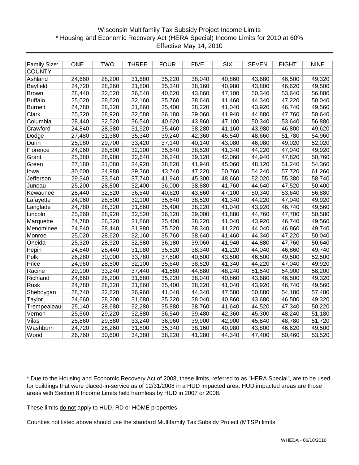# Wisconsin Multifamily Tax Subsidy Project Income Limits \* Housing and Economic Recovery Act (HERA Special) Income Limits for 2010 at 60% Effective May 14, 2010

| <b>Family Size:</b> | <b>ONE</b> | <b>TWO</b> | <b>THREE</b> | <b>FOUR</b> | <b>FIVE</b> | <b>SIX</b> | <b>SEVEN</b> | <b>EIGHT</b> | <b>NINE</b> |
|---------------------|------------|------------|--------------|-------------|-------------|------------|--------------|--------------|-------------|
| <b>COUNTY</b>       |            |            |              |             |             |            |              |              |             |
| Ashland             | 24,660     | 28,200     | 31,680       | 35,220      | 38,040      | 40,860     | 43,680       | 46,500       | 49,320      |
| Bayfield            | 24,720     | 28,260     | 31,800       | 35,340      | 38,160      | 40,980     | 43,800       | 46,620       | 49,500      |
| <b>Brown</b>        | 28,440     | 32,520     | 36,540       | 40,620      | 43,860      | 47,100     | 50,340       | 53,640       | 56,880      |
| <b>Buffalo</b>      | 25,020     | 28,620     | 32,160       | 35,760      | 38,640      | 41,460     | 44,340       | 47,220       | 50,040      |
| <b>Burnett</b>      | 24,780     | 28,320     | 31,860       | 35,400      | 38,220      | 41,040     | 43,920       | 46,740       | 49,560      |
| Clark               | 25,320     | 28,920     | 32,580       | 36,180      | 39,060      | 41,940     | 44,880       | 47,760       | 50,640      |
| Columbia            | 28,440     | 32,520     | 36,540       | 40,620      | 43,860      | 47,100     | 50,340       | 53,640       | 56,880      |
| Crawford            | 24,840     | 28,380     | 31,920       | 35,460      | 38,280      | 41,160     | 43,980       | 46,800       | 49,620      |
| Dodge               | 27,480     | 31,380     | 35,340       | 39,240      | 42,360      | 45,540     | 48,660       | 51,780       | 54,960      |
| Dunn                | 25,980     | 29,700     | 33,420       | 37,140      | 40,140      | 43,080     | 46,080       | 49,020       | 52,020      |
| Florence            | 24,960     | 28,500     | 32,100       | 35,640      | 38,520      | 41,340     | 44,220       | 47,040       | 49,920      |
| Grant               | 25,380     | 28,980     | 32,640       | 36,240      | 39,120      | 42,060     | 44,940       | 47,820       | 50,760      |
| Green               | 27,180     | 31,080     | 34,920       | 38,820      | 41,940      | 45,060     | 48,120       | 51,240       | 54,360      |
| lowa                | 30,600     | 34,980     | 39,360       | 43,740      | 47,220      | 50,760     | 54,240       | 57,720       | 61,260      |
| Jefferson           | 29,340     | 33,540     | 37,740       | 41,940      | 45,300      | 48,660     | 52,020       | 55,380       | 58,740      |
| Juneau              | 25,200     | 28,800     | 32,400       | 36,000      | 38,880      | 41,760     | 44,640       | 47,520       | 50,400      |
| Kewaunee            | 28,440     | 32,520     | 36,540       | 40,620      | 43,860      | 47,100     | 50,340       | 53,640       | 56,880      |
| Lafayette           | 24,960     | 28,500     | 32,100       | 35,640      | 38,520      | 41,340     | 44,220       | 47,040       | 49,920      |
| Langlade            | 24,780     | 28,320     | 31,860       | 35,400      | 38,220      | 41,040     | 43,920       | 46,740       | 49,560      |
| Lincoln             | 25,260     | 28,920     | 32,520       | 36,120      | 39,000      | 41,880     | 44,760       | 47,700       | 50,580      |
| Marquette           | 24,780     | 28,320     | 31,860       | 35,400      | 38,220      | 41,040     | 43,920       | 46,740       | 49,560      |
| Menominee           | 24,840     | 28,440     | 31,980       | 35,520      | 38,340      | 41,220     | 44,040       | 46,860       | 49,740      |
| Monroe              | 25,020     | 28,620     | 32,160       | 35,760      | 38,640      | 41,460     | 44,340       | 47,220       | 50,040      |
| Oneida              | 25,320     | 28,920     | 32,580       | 36,180      | 39,060      | 41,940     | 44,880       | 47,760       | 50,640      |
| Pepin               | 24,840     | 28,440     | 31,980       | 35,520      | 38,340      | 41,220     | 44,040       | 46,860       | 49,740      |
| Polk                | 26,280     | 30,000     | 33,780       | 37,500      | 40,500      | 43,500     | 46,500       | 49,500       | 52,500      |
| Price               | 24,960     | 28,500     | 32,100       | 35,640      | 38,520      | 41,340     | 44,220       | 47,040       | 49,920      |
| Racine              | 29,100     | 33,240     | 37,440       | 41,580      | 44,880      | 48,240     | 51,540       | 54,900       | 58,200      |
| Richland            | 24,660     | 28,200     | 31,680       | 35,220      | 38,040      | 40,860     | 43,680       | 46,500       | 49,320      |
| <b>Rusk</b>         | 24,780     | 28,320     | 31,860       | 35,400      | 38,220      | 41,040     | 43,920       | 46,740       | 49,560      |
| Sheboygan           | 28,740     | 32,820     | 36,960       | 41,040      | 44,340      | 47,580     | 50,880       | 54,180       | 57,480      |
| Taylor              | 24,660     | 28,200     | 31,680       | 35,220      | 38,040      | 40,860     | 43,680       | 46,500       | 49,320      |
| Trempealeau         | 25,140     | 28,680     | 32,280       | 35,880      | 38,760      | 41,640     | 44,520       | 47,340       | 50,220      |
| Vernon              | 25,560     | 29,220     | 32,880       | 36,540      | 39,480      | 42,360     | 45,300       | 48,240       | 51,180      |
| Vilas               | 25,860     | 29,580     | 33,240       | 36,960      | 39,900      | 42,900     | 45,840       | 48,780       | 51,720      |
| Washburn            | 24,720     | 28,260     | 31,800       | 35,340      | 38,160      | 40,980     | 43,800       | 46,620       | 49,500      |
| Wood                | 26,760     | 30,600     | 34,380       | 38,220      | 41,280      | 44,340     | 47,400       | 50,460       | 53,520      |

\* Due to the Housing and Economic Recovery Act of 2008, these limits, referred to as "HERA Special", are to be used for buildings that were placed-in-service as of 12/31/2008 in a HUD impacted area. HUD impacted areas are those areas with Section 8 Income Limits held harmless by HUD in 2007 or 2008.

These limits do not apply to HUD, RD or HOME properties.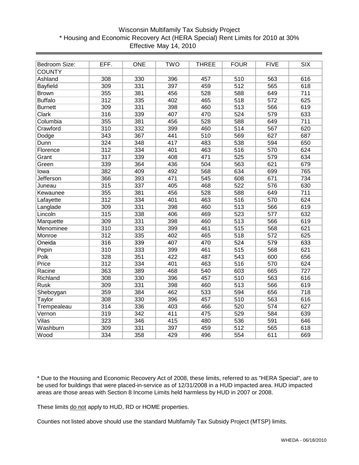# \* Housing and Economic Recovery Act (HERA Special) Rent Limits for 2010 at 30% Effective May 14, 2010 Wisconsin Multifamily Tax Subsidy Project

| Bedroom Size:    | EFF. | <b>ONE</b> | <b>TWO</b> | <b>THREE</b> | <b>FOUR</b>      | <b>FIVE</b> | $\overline{\text{SIX}}$ |
|------------------|------|------------|------------|--------------|------------------|-------------|-------------------------|
| <b>COUNTY</b>    |      |            |            |              |                  |             |                         |
| Ashland          | 308  | 330        | 396        | 457          | 510              | 563         | 616                     |
| <b>Bayfield</b>  | 309  | 331        | 397        | 459          | 512              | 565         | 618                     |
| <b>Brown</b>     | 355  | 381        | 456        | 528          | 588              | 649         | $\overline{711}$        |
| <b>Buffalo</b>   | 312  | 335        | 402        | 465          | 518              | 572         | 625                     |
| <b>Burnett</b>   | 309  | 331        | 398        | 460          | 513              | 566         | 619                     |
| Clark            | 316  | 339        | 407        | 470          | 524              | 579         | 633                     |
| Columbia         | 355  | 381        | 456        | 528          | 588              | 649         | 711                     |
| Crawford         | 310  | 332        | 399        | 460          | 514              | 567         | 620                     |
| Dodge            | 343  | 367        | 441        | 510          | 569              | 627         | 687                     |
| Dunn             | 324  | 348        | 417        | 483          | 538              | 594         | 650                     |
| Florence         | 312  | 334        | 401        | 463          | 516              | 570         | 624                     |
| Grant            | 317  | 339        | 408        | 471          | 525              | 579         | 634                     |
| Green            | 339  | 364        | 436        | 504          | 563              | 621         | 679                     |
| lowa             | 382  | 409        | 492        | 568          | 634              | 699         | 765                     |
| <b>Jefferson</b> | 366  | 393        | 471        | 545          | 608              | 671         | $\overline{734}$        |
| Juneau           | 315  | 337        | 405        | 468          | 522              | 576         | 630                     |
| Kewaunee         | 355  | 381        | 456        | 528          | 588              | 649         | $\overline{711}$        |
| Lafayette        | 312  | 334        | 401        | 463          | 516              | 570         | 624                     |
| Langlade         | 309  | 331        | 398        | 460          | 513              | 566         | 619                     |
| Lincoln          | 315  | 338        | 406        | 469          | 523              | 577         | 632                     |
| Marquette        | 309  | 331        | 398        | 460          | 513              | 566         | 619                     |
| Menominee        | 310  | 333        | 399        | 461          | 515              | 568         | 621                     |
| Monroe           | 312  | 335        | 402        | 465          | 518              | 572         | 625                     |
| Oneida           | 316  | 339        | 407        | 470          | 524              | 579         | 633                     |
| Pepin            | 310  | 333        | 399        | 461          | 515              | 568         | 621                     |
| Polk             | 328  | 351        | 422        | 487          | 543              | 600         | 656                     |
| Price            | 312  | 334        | 401        | 463          | 516              | 570         | 624                     |
| Racine           | 363  | 389        | 468        | 540          | 603              | 665         | 727                     |
| Richland         | 308  | 330        | 396        | 457          | 510              | 563         | 616                     |
| <b>Rusk</b>      | 309  | 331        | 398        | 460          | 513              | 566         | 619                     |
| Sheboygan        | 359  | 384        | 462        | 533          | 594              | 656         | $\overline{718}$        |
| Taylor           | 308  | 330        | 396        | 457          | 510              | 563         | 616                     |
| Trempealeau      | 314  | 336        | 403        | 466          | 520              | 574         | 627                     |
| Vernon           | 319  | 342        | 411        | 475          | 529              | 584         | 639                     |
| Vilas            | 323  | 346        | 415        | 480          | 536              | 591         | 646                     |
| Washburn         | 309  | 331        | 397        | 459          | $\overline{512}$ | 565         | 618                     |
| Wood             | 334  | 358        | 429        | 496          | 554              | 611         | 669                     |

\* Due to the Housing and Economic Recovery Act of 2008, these limits, referred to as "HERA Special", are to be used for buildings that were placed-in-service as of 12/31/2008 in a HUD impacted area. HUD impacted areas are those areas with Section 8 Income Limits held harmless by HUD in 2007 or 2008.

These limits do not apply to HUD, RD or HOME properties.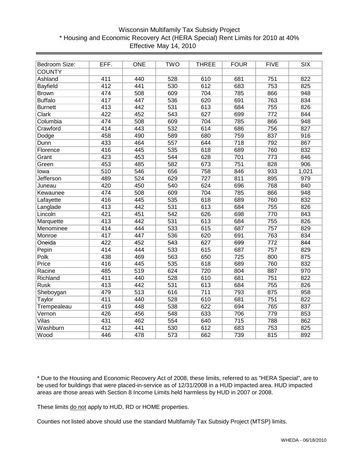# \* Housing and Economic Recovery Act (HERA Special) Rent Limits for 2010 at 40% Effective May 14, 2010 Wisconsin Multifamily Tax Subsidy Project

| Bedroom Size:    | EFF.             | <b>ONE</b>       | <b>TWO</b>       | <b>THREE</b>     | <b>FOUR</b> | <b>FIVE</b>      | $\overline{\text{SIX}}$ |
|------------------|------------------|------------------|------------------|------------------|-------------|------------------|-------------------------|
| <b>COUNTY</b>    |                  |                  |                  |                  |             |                  |                         |
| Ashland          | 411              | 440              | 528              | 610              | 681         | 751              | 822                     |
| <b>Bayfield</b>  | 412              | 441              | 530              | 612              | 683         | 753              | 825                     |
| <b>Brown</b>     | 474              | 508              | 609              | 704              | 785         | 866              | 948                     |
| <b>Buffalo</b>   | 417              | 447              | 536              | 620              | 691         | 763              | 834                     |
| <b>Burnett</b>   | 413              | 442              | 531              | 613              | 684         | 755              | 826                     |
| Clark            | 422              | 452              | 543              | 627              | 699         | $\overline{772}$ | 844                     |
| Columbia         | 474              | 508              | 609              | 704              | 785         | 866              | 948                     |
| Crawford         | 414              | 443              | 532              | 614              | 686         | 756              | 827                     |
| Dodge            | 458              | 490              | 589              | 680              | 759         | 837              | 916                     |
| Dunn             | 433              | 464              | 557              | 644              | 718         | 792              | 867                     |
| Florence         | 416              | 445              | 535              | 618              | 689         | 760              | 832                     |
| Grant            | 423              | 453              | 544              | 628              | 701         | 773              | 846                     |
| Green            | 453              | 485              | 582              | 673              | 751         | 828              | 906                     |
| lowa             | 510              | 546              | 656              | 758              | 846         | 933              | 1,021                   |
| <b>Jefferson</b> | 489              | 524              | 629              | $\overline{727}$ | 811         | 895              | 979                     |
| Juneau           | 420              | 450              | 540              | 624              | 696         | 768              | 840                     |
| Kewaunee         | 474              | 508              | 609              | 704              | 785         | 866              | 948                     |
| Lafayette        | 416              | 445              | 535              | 618              | 689         | 760              | 832                     |
| Langlade         | 413              | 442              | 531              | 613              | 684         | 755              | 826                     |
| Lincoln          | 421              | 451              | 542              | 626              | 698         | 770              | 843                     |
| Marquette        | 413              | 442              | 531              | 613              | 684         | 755              | 826                     |
| Menominee        | 414              | 444              | 533              | 615              | 687         | 757              | 829                     |
| Monroe           | 417              | 447              | 536              | 620              | 691         | 763              | 834                     |
| Oneida           | 422              | 452              | 543              | 627              | 699         | $\overline{772}$ | 844                     |
| Pepin            | 414              | 444              | 533              | 615              | 687         | 757              | 829                     |
| Polk             | 438              | 469              | 563              | 650              | 725         | 800              | 875                     |
| Price            | 416              | 445              | 535              | 618              | 689         | 760              | 832                     |
| Racine           | 485              | 519              | 624              | 720              | 804         | 887              | 970                     |
| Richland         | 411              | 440              | 528              | 610              | 681         | 751              | 822                     |
| <b>Rusk</b>      | 413              | 442              | 531              | 613              | 684         | 755              | 826                     |
| Sheboygan        | 479              | $\overline{513}$ | 616              | $\overline{711}$ | 793         | 875              | 958                     |
| Taylor           | 411              | 440              | 528              | 610              | 681         | 751              | 822                     |
| Trempealeau      | 419              | 448              | 538              | 622              | 694         | 765              | 837                     |
| Vernon           | 426              | 456              | 548              | 633              | 706         | 779              | 853                     |
| Vilas            | 431              | 462              | 554              | 640              | 715         | 788              | 862                     |
| Washburn         | $\overline{412}$ | 441              | 530              | 612              | 683         | 753              | 825                     |
| Wood             | 446              | 478              | $\overline{573}$ | 662              | 739         | 815              | 892                     |

\* Due to the Housing and Economic Recovery Act of 2008, these limits, referred to as "HERA Special", are to be used for buildings that were placed-in-service as of 12/31/2008 in a HUD impacted area. HUD impacted areas are those areas with Section 8 Income Limits held harmless by HUD in 2007 or 2008.

These limits do not apply to HUD, RD or HOME properties.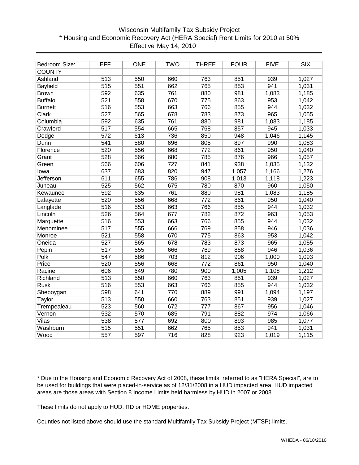# \* Housing and Economic Recovery Act (HERA Special) Rent Limits for 2010 at 50% Effective May 14, 2010 Wisconsin Multifamily Tax Subsidy Project

| Bedroom Size:    | EFF. | <b>ONE</b> | <b>TWO</b> | <b>THREE</b>     | <b>FOUR</b> | <b>FIVE</b> | $\overline{\text{SIX}}$ |
|------------------|------|------------|------------|------------------|-------------|-------------|-------------------------|
| <b>COUNTY</b>    |      |            |            |                  |             |             |                         |
| Ashland          | 513  | 550        | 660        | 763              | 851         | 939         | 1,027                   |
| Bayfield         | 515  | 551        | 662        | 765              | 853         | 941         | 1,031                   |
| <b>Brown</b>     | 592  | 635        | 761        | 880              | 981         | 1,083       | 1,185                   |
| <b>Buffalo</b>   | 521  | 558        | 670        | 775              | 863         | 953         | 1,042                   |
| <b>Burnett</b>   | 516  | 553        | 663        | 766              | 855         | 944         | 1,032                   |
| <b>Clark</b>     | 527  | 565        | 678        | 783              | 873         | 965         | 1,055                   |
| Columbia         | 592  | 635        | 761        | 880              | 981         | 1,083       | 1,185                   |
| Crawford         | 517  | 554        | 665        | 768              | 857         | 945         | 1,033                   |
| Dodge            | 572  | 613        | 736        | 850              | 948         | 1,046       | 1,145                   |
| Dunn             | 541  | 580        | 696        | 805              | 897         | 990         | 1,083                   |
| Florence         | 520  | 556        | 668        | 772              | 861         | 950         | 1,040                   |
| Grant            | 528  | 566        | 680        | 785              | 876         | 966         | 1,057                   |
| Green            | 566  | 606        | 727        | 841              | 938         | 1,035       | 1,132                   |
| lowa             | 637  | 683        | 820        | 947              | 1,057       | 1,166       | 1,276                   |
| <b>Jefferson</b> | 611  | 655        | 786        | 908              | 1,013       | 1,118       | 1,223                   |
| Juneau           | 525  | 562        | 675        | 780              | 870         | 960         | 1,050                   |
| Kewaunee         | 592  | 635        | 761        | 880              | 981         | 1,083       | 1,185                   |
| Lafayette        | 520  | 556        | 668        | 772              | 861         | 950         | 1,040                   |
| Langlade         | 516  | 553        | 663        | 766              | 855         | 944         | 1,032                   |
| Lincoln          | 526  | 564        | 677        | 782              | 872         | 963         | 1,053                   |
| Marquette        | 516  | 553        | 663        | 766              | 855         | 944         | 1,032                   |
| Menominee        | 517  | 555        | 666        | 769              | 858         | 946         | 1,036                   |
| Monroe           | 521  | 558        | 670        | 775              | 863         | 953         | 1,042                   |
| Oneida           | 527  | 565        | 678        | 783              | 873         | 965         | 1,055                   |
| Pepin            | 517  | 555        | 666        | 769              | 858         | 946         | 1,036                   |
| Polk             | 547  | 586        | 703        | 812              | 906         | 1,000       | 1,093                   |
| Price            | 520  | 556        | 668        | 772              | 861         | 950         | 1,040                   |
| Racine           | 606  | 649        | 780        | 900              | 1,005       | 1,108       | 1,212                   |
| Richland         | 513  | 550        | 660        | 763              | 851         | 939         | 1,027                   |
| <b>Rusk</b>      | 516  | 553        | 663        | 766              | 855         | 944         | 1,032                   |
| Sheboygan        | 598  | 641        | 770        | 889              | 991         | 1,094       | 1,197                   |
| Taylor           | 513  | 550        | 660        | 763              | 851         | 939         | 1,027                   |
| Trempealeau      | 523  | 560        | 672        | $\overline{777}$ | 867         | 956         | 1,046                   |
| Vernon           | 532  | 570        | 685        | 791              | 882         | 974         | 1,066                   |
| Vilas            | 538  | 577        | 692        | 800              | 893         | 985         | 1,077                   |
| Washburn         | 515  | 551        | 662        | 765              | 853         | 941         | 1,031                   |
| Wood             | 557  | 597        | 716        | 828              | 923         | 1,019       | 1,115                   |

\* Due to the Housing and Economic Recovery Act of 2008, these limits, referred to as "HERA Special", are to be used for buildings that were placed-in-service as of 12/31/2008 in a HUD impacted area. HUD impacted areas are those areas with Section 8 Income Limits held harmless by HUD in 2007 or 2008.

These limits do not apply to HUD, RD or HOME properties.